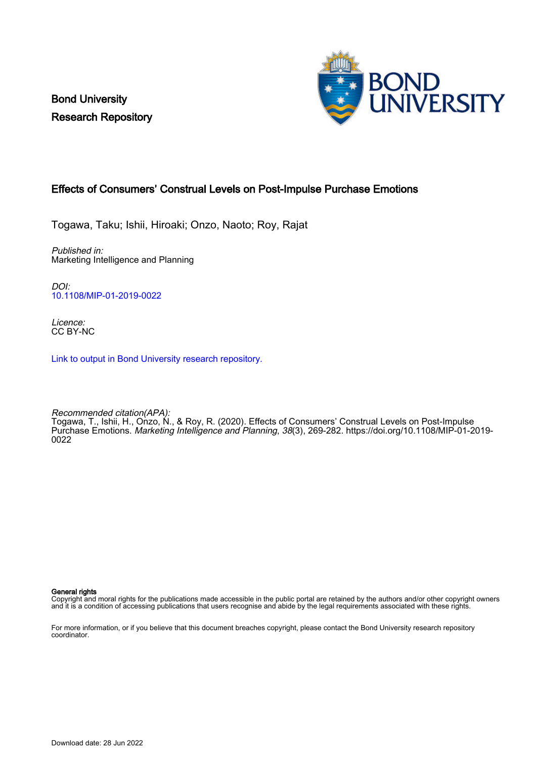Bond University Research Repository



# Effects of Consumers' Construal Levels on Post-Impulse Purchase Emotions

Togawa, Taku; Ishii, Hiroaki; Onzo, Naoto; Roy, Rajat

Published in: Marketing Intelligence and Planning

DOI: [10.1108/MIP-01-2019-0022](https://doi.org/10.1108/MIP-01-2019-0022)

Licence: CC BY-NC

[Link to output in Bond University research repository.](https://research.bond.edu.au/en/publications/b37dfc77-c88a-4382-af30-12a1a8fd7036)

Recommended citation(APA): Togawa, T., Ishii, H., Onzo, N., & Roy, R. (2020). Effects of Consumers' Construal Levels on Post-Impulse Purchase Emotions. Marketing Intelligence and Planning, 38(3), 269-282. [https://doi.org/10.1108/MIP-01-2019-](https://doi.org/10.1108/MIP-01-2019-0022) [0022](https://doi.org/10.1108/MIP-01-2019-0022)

General rights

Copyright and moral rights for the publications made accessible in the public portal are retained by the authors and/or other copyright owners and it is a condition of accessing publications that users recognise and abide by the legal requirements associated with these rights.

For more information, or if you believe that this document breaches copyright, please contact the Bond University research repository coordinator.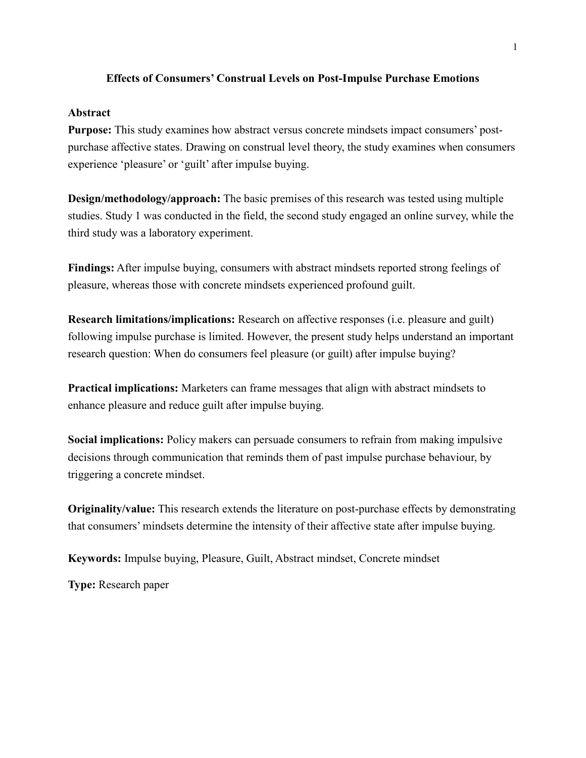# **Effects of Consumers' Construal Levels on Post-Impulse Purchase Emotions**

# **Abstract**

**Purpose:** This study examines how abstract versus concrete mindsets impact consumers' postpurchase affective states. Drawing on construal level theory, the study examines when consumers experience 'pleasure' or 'guilt' after impulse buying.

**Design/methodology/approach:** The basic premises of this research was tested using multiple studies. Study 1 was conducted in the field, the second study engaged an online survey, while the third study was a laboratory experiment.

**Findings:** After impulse buying, consumers with abstract mindsets reported strong feelings of pleasure, whereas those with concrete mindsets experienced profound guilt.

**Research limitations/implications:** Research on affective responses (i.e. pleasure and guilt) following impulse purchase is limited. However, the present study helps understand an important research question: When do consumers feel pleasure (or guilt) after impulse buying?

**Practical implications:** Marketers can frame messages that align with abstract mindsets to enhance pleasure and reduce guilt after impulse buying.

**Social implications:** Policy makers can persuade consumers to refrain from making impulsive decisions through communication that reminds them of past impulse purchase behaviour, by triggering a concrete mindset.

**Originality/value:** This research extends the literature on post-purchase effects by demonstrating that consumers' mindsets determine the intensity of their affective state after impulse buying.

**Keywords:** Impulse buying, Pleasure, Guilt, Abstract mindset, Concrete mindset

**Type:** Research paper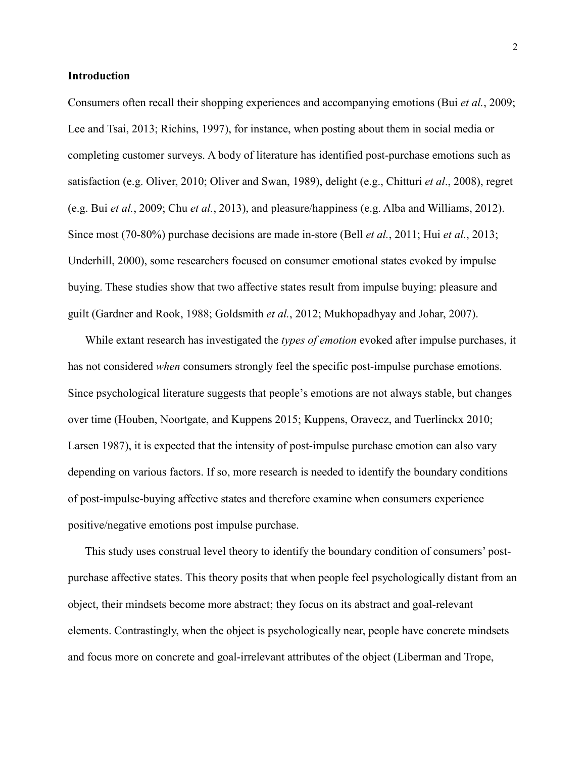# **Introduction**

Consumers often recall their shopping experiences and accompanying emotions (Bui *et al.*, 2009; Lee and Tsai, 2013; Richins, 1997), for instance, when posting about them in social media or completing customer surveys. A body of literature has identified post-purchase emotions such as satisfaction (e.g. Oliver, 2010; Oliver and Swan, 1989), delight (e.g., Chitturi *et al*., 2008), regret (e.g. Bui *et al.*, 2009; Chu *et al.*, 2013), and pleasure/happiness (e.g. Alba and Williams, 2012). Since most (70-80%) purchase decisions are made in-store (Bell *et al.*, 2011; Hui *et al.*, 2013; Underhill, 2000), some researchers focused on consumer emotional states evoked by impulse buying. These studies show that two affective states result from impulse buying: pleasure and guilt (Gardner and Rook, 1988; Goldsmith *et al.*, 2012; Mukhopadhyay and Johar, 2007).

While extant research has investigated the *types of emotion* evoked after impulse purchases, it has not considered *when* consumers strongly feel the specific post-impulse purchase emotions. Since psychological literature suggests that people's emotions are not always stable, but changes over time (Houben, Noortgate, and Kuppens 2015; Kuppens, Oravecz, and Tuerlinckx 2010; Larsen 1987), it is expected that the intensity of post-impulse purchase emotion can also vary depending on various factors. If so, more research is needed to identify the boundary conditions of post-impulse-buying affective states and therefore examine when consumers experience positive/negative emotions post impulse purchase.

This study uses construal level theory to identify the boundary condition of consumers' postpurchase affective states. This theory posits that when people feel psychologically distant from an object, their mindsets become more abstract; they focus on its abstract and goal-relevant elements. Contrastingly, when the object is psychologically near, people have concrete mindsets and focus more on concrete and goal-irrelevant attributes of the object (Liberman and Trope,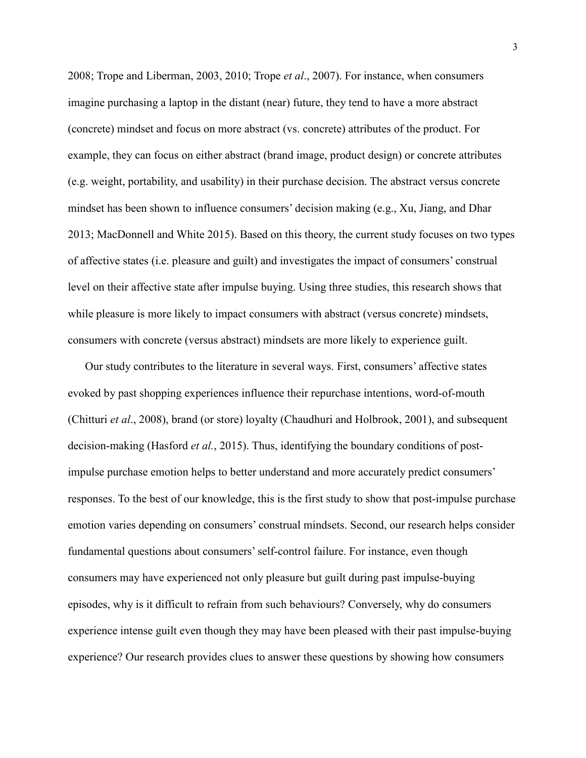2008; Trope and Liberman, 2003, 2010; Trope *et al*., 2007). For instance, when consumers imagine purchasing a laptop in the distant (near) future, they tend to have a more abstract (concrete) mindset and focus on more abstract (vs. concrete) attributes of the product. For example, they can focus on either abstract (brand image, product design) or concrete attributes (e.g. weight, portability, and usability) in their purchase decision. The abstract versus concrete mindset has been shown to influence consumers' decision making (e.g., Xu, Jiang, and Dhar 2013; MacDonnell and White 2015). Based on this theory, the current study focuses on two types of affective states (i.e. pleasure and guilt) and investigates the impact of consumers' construal level on their affective state after impulse buying. Using three studies, this research shows that while pleasure is more likely to impact consumers with abstract (versus concrete) mindsets, consumers with concrete (versus abstract) mindsets are more likely to experience guilt.

Our study contributes to the literature in several ways. First, consumers' affective states evoked by past shopping experiences influence their repurchase intentions, word-of-mouth (Chitturi *et al*., 2008), brand (or store) loyalty (Chaudhuri and Holbrook, 2001), and subsequent decision-making (Hasford *et al.*, 2015). Thus, identifying the boundary conditions of postimpulse purchase emotion helps to better understand and more accurately predict consumers' responses. To the best of our knowledge, this is the first study to show that post-impulse purchase emotion varies depending on consumers' construal mindsets. Second, our research helps consider fundamental questions about consumers' self-control failure. For instance, even though consumers may have experienced not only pleasure but guilt during past impulse-buying episodes, why is it difficult to refrain from such behaviours? Conversely, why do consumers experience intense guilt even though they may have been pleased with their past impulse-buying experience? Our research provides clues to answer these questions by showing how consumers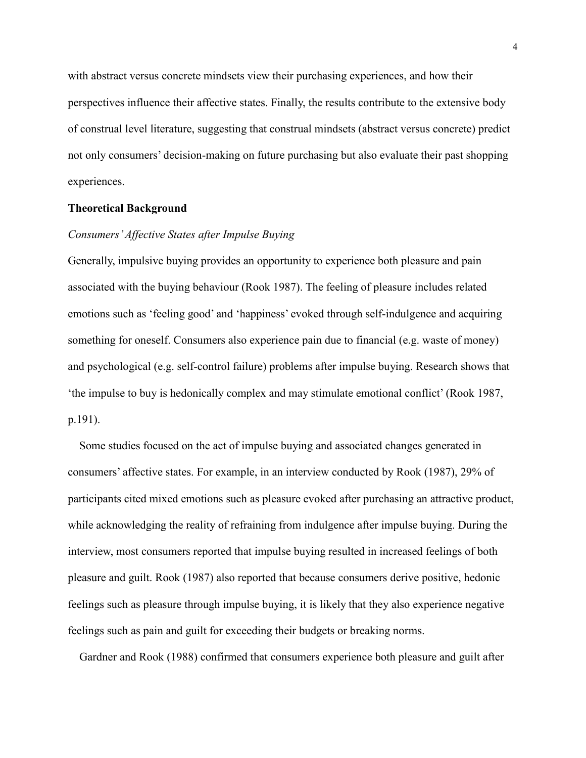with abstract versus concrete mindsets view their purchasing experiences, and how their perspectives influence their affective states. Finally, the results contribute to the extensive body of construal level literature, suggesting that construal mindsets (abstract versus concrete) predict not only consumers' decision-making on future purchasing but also evaluate their past shopping experiences.

#### **Theoretical Background**

# *Consumers' Affective States after Impulse Buying*

Generally, impulsive buying provides an opportunity to experience both pleasure and pain associated with the buying behaviour (Rook 1987). The feeling of pleasure includes related emotions such as 'feeling good' and 'happiness' evoked through self-indulgence and acquiring something for oneself. Consumers also experience pain due to financial (e.g. waste of money) and psychological (e.g. self-control failure) problems after impulse buying. Research shows that 'the impulse to buy is hedonically complex and may stimulate emotional conflict' (Rook 1987, p.191).

Some studies focused on the act of impulse buying and associated changes generated in consumers' affective states. For example, in an interview conducted by Rook (1987), 29% of participants cited mixed emotions such as pleasure evoked after purchasing an attractive product, while acknowledging the reality of refraining from indulgence after impulse buying. During the interview, most consumers reported that impulse buying resulted in increased feelings of both pleasure and guilt. Rook (1987) also reported that because consumers derive positive, hedonic feelings such as pleasure through impulse buying, it is likely that they also experience negative feelings such as pain and guilt for exceeding their budgets or breaking norms.

Gardner and Rook (1988) confirmed that consumers experience both pleasure and guilt after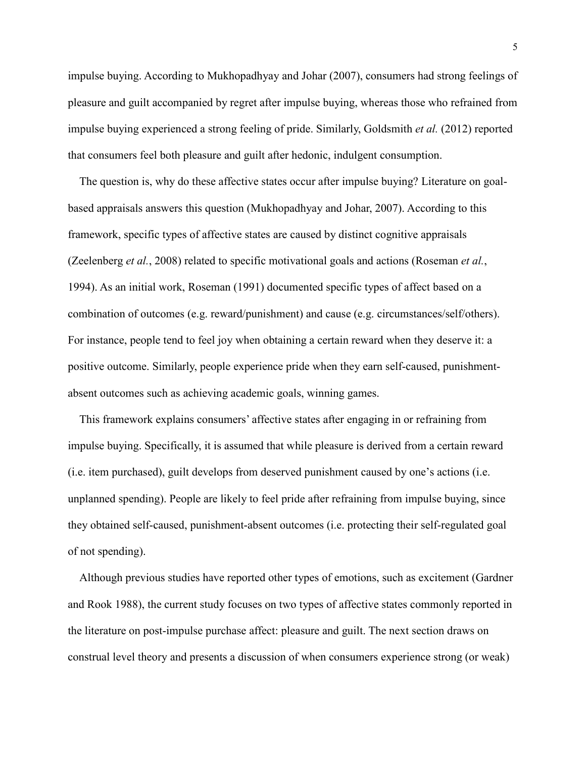impulse buying. According to Mukhopadhyay and Johar (2007), consumers had strong feelings of pleasure and guilt accompanied by regret after impulse buying, whereas those who refrained from impulse buying experienced a strong feeling of pride. Similarly, Goldsmith *et al.* (2012) reported that consumers feel both pleasure and guilt after hedonic, indulgent consumption.

The question is, why do these affective states occur after impulse buying? Literature on goalbased appraisals answers this question (Mukhopadhyay and Johar, 2007). According to this framework, specific types of affective states are caused by distinct cognitive appraisals (Zeelenberg *et al.*, 2008) related to specific motivational goals and actions (Roseman *et al.*, 1994). As an initial work, Roseman (1991) documented specific types of affect based on a combination of outcomes (e.g. reward/punishment) and cause (e.g. circumstances/self/others). For instance, people tend to feel joy when obtaining a certain reward when they deserve it: a positive outcome. Similarly, people experience pride when they earn self-caused, punishmentabsent outcomes such as achieving academic goals, winning games.

This framework explains consumers' affective states after engaging in or refraining from impulse buying. Specifically, it is assumed that while pleasure is derived from a certain reward (i.e. item purchased), guilt develops from deserved punishment caused by one's actions (i.e. unplanned spending). People are likely to feel pride after refraining from impulse buying, since they obtained self-caused, punishment-absent outcomes (i.e. protecting their self-regulated goal of not spending).

Although previous studies have reported other types of emotions, such as excitement (Gardner and Rook 1988), the current study focuses on two types of affective states commonly reported in the literature on post-impulse purchase affect: pleasure and guilt. The next section draws on construal level theory and presents a discussion of when consumers experience strong (or weak)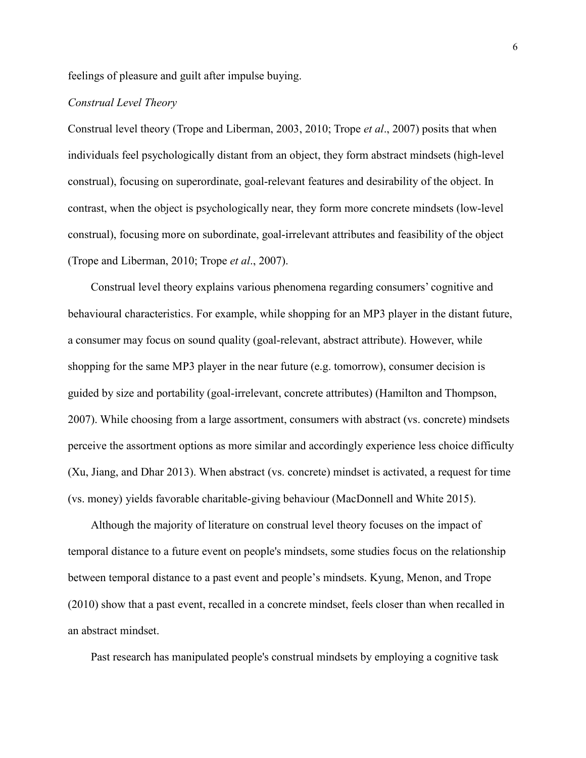feelings of pleasure and guilt after impulse buying.

# *Construal Level Theory*

Construal level theory (Trope and Liberman, 2003, 2010; Trope *et al*., 2007) posits that when individuals feel psychologically distant from an object, they form abstract mindsets (high-level construal), focusing on superordinate, goal-relevant features and desirability of the object. In contrast, when the object is psychologically near, they form more concrete mindsets (low-level construal), focusing more on subordinate, goal-irrelevant attributes and feasibility of the object (Trope and Liberman, 2010; Trope *et al*., 2007).

 Construal level theory explains various phenomena regarding consumers' cognitive and behavioural characteristics. For example, while shopping for an MP3 player in the distant future, a consumer may focus on sound quality (goal-relevant, abstract attribute). However, while shopping for the same MP3 player in the near future (e.g. tomorrow), consumer decision is guided by size and portability (goal-irrelevant, concrete attributes) (Hamilton and Thompson, 2007). While choosing from a large assortment, consumers with abstract (vs. concrete) mindsets perceive the assortment options as more similar and accordingly experience less choice difficulty (Xu, Jiang, and Dhar 2013). When abstract (vs. concrete) mindset is activated, a request for time (vs. money) yields favorable charitable-giving behaviour (MacDonnell and White 2015).

 Although the majority of literature on construal level theory focuses on the impact of temporal distance to a future event on people's mindsets, some studies focus on the relationship between temporal distance to a past event and people's mindsets. Kyung, Menon, and Trope (2010) show that a past event, recalled in a concrete mindset, feels closer than when recalled in an abstract mindset.

Past research has manipulated people's construal mindsets by employing a cognitive task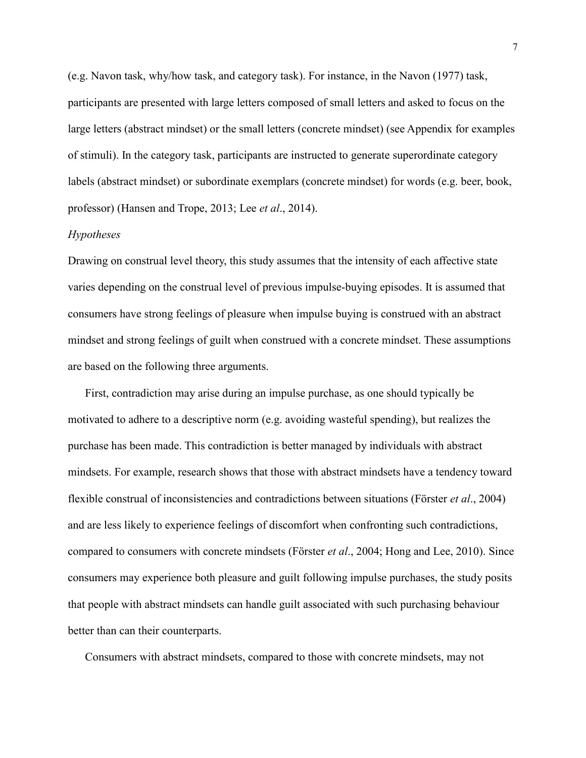(e.g. Navon task, why/how task, and category task). For instance, in the Navon (1977) task, participants are presented with large letters composed of small letters and asked to focus on the large letters (abstract mindset) or the small letters (concrete mindset) (see Appendix for examples of stimuli). In the category task, participants are instructed to generate superordinate category labels (abstract mindset) or subordinate exemplars (concrete mindset) for words (e.g. beer, book, professor) (Hansen and Trope, 2013; Lee *et al*., 2014).

### *Hypotheses*

Drawing on construal level theory, this study assumes that the intensity of each affective state varies depending on the construal level of previous impulse-buying episodes. It is assumed that consumers have strong feelings of pleasure when impulse buying is construed with an abstract mindset and strong feelings of guilt when construed with a concrete mindset. These assumptions are based on the following three arguments.

First, contradiction may arise during an impulse purchase, as one should typically be motivated to adhere to a descriptive norm (e.g. avoiding wasteful spending), but realizes the purchase has been made. This contradiction is better managed by individuals with abstract mindsets. For example, research shows that those with abstract mindsets have a tendency toward flexible construal of inconsistencies and contradictions between situations (Förster *et al*., 2004) and are less likely to experience feelings of discomfort when confronting such contradictions, compared to consumers with concrete mindsets (Förster *et al*., 2004; Hong and Lee, 2010). Since consumers may experience both pleasure and guilt following impulse purchases, the study posits that people with abstract mindsets can handle guilt associated with such purchasing behaviour better than can their counterparts.

Consumers with abstract mindsets, compared to those with concrete mindsets, may not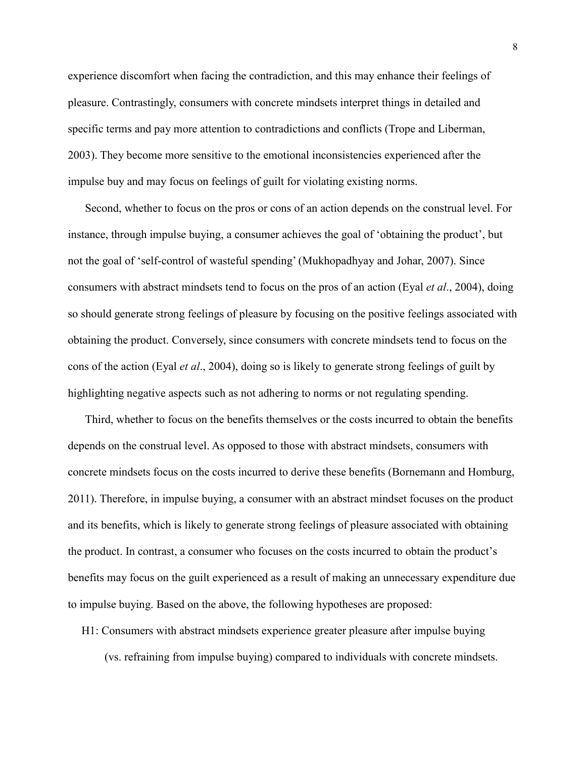experience discomfort when facing the contradiction, and this may enhance their feelings of pleasure. Contrastingly, consumers with concrete mindsets interpret things in detailed and specific terms and pay more attention to contradictions and conflicts (Trope and Liberman, 2003). They become more sensitive to the emotional inconsistencies experienced after the impulse buy and may focus on feelings of guilt for violating existing norms.

Second, whether to focus on the pros or cons of an action depends on the construal level. For instance, through impulse buying, a consumer achieves the goal of 'obtaining the product', but not the goal of 'self-control of wasteful spending' (Mukhopadhyay and Johar, 2007). Since consumers with abstract mindsets tend to focus on the pros of an action (Eyal *et al*., 2004), doing so should generate strong feelings of pleasure by focusing on the positive feelings associated with obtaining the product. Conversely, since consumers with concrete mindsets tend to focus on the cons of the action (Eyal *et al*., 2004), doing so is likely to generate strong feelings of guilt by highlighting negative aspects such as not adhering to norms or not regulating spending.

Third, whether to focus on the benefits themselves or the costs incurred to obtain the benefits depends on the construal level. As opposed to those with abstract mindsets, consumers with concrete mindsets focus on the costs incurred to derive these benefits (Bornemann and Homburg, 2011). Therefore, in impulse buying, a consumer with an abstract mindset focuses on the product and its benefits, which is likely to generate strong feelings of pleasure associated with obtaining the product. In contrast, a consumer who focuses on the costs incurred to obtain the product's benefits may focus on the guilt experienced as a result of making an unnecessary expenditure due to impulse buying. Based on the above, the following hypotheses are proposed:

H1: Consumers with abstract mindsets experience greater pleasure after impulse buying

(vs. refraining from impulse buying) compared to individuals with concrete mindsets.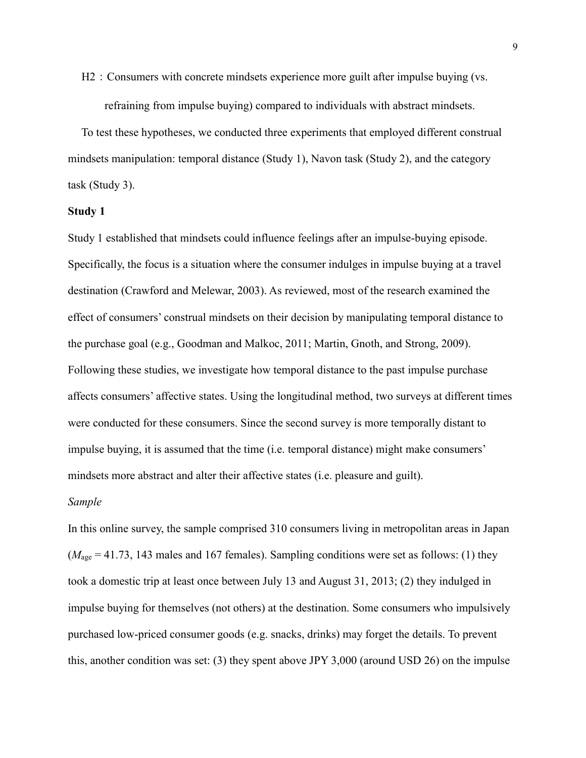H2: Consumers with concrete mindsets experience more guilt after impulse buying (vs. refraining from impulse buying) compared to individuals with abstract mindsets.

To test these hypotheses, we conducted three experiments that employed different construal mindsets manipulation: temporal distance (Study 1), Navon task (Study 2), and the category task (Study 3).

# **Study 1**

Study 1 established that mindsets could influence feelings after an impulse-buying episode. Specifically, the focus is a situation where the consumer indulges in impulse buying at a travel destination (Crawford and Melewar, 2003). As reviewed, most of the research examined the effect of consumers' construal mindsets on their decision by manipulating temporal distance to the purchase goal (e.g., Goodman and Malkoc, 2011; Martin, Gnoth, and Strong, 2009). Following these studies, we investigate how temporal distance to the past impulse purchase affects consumers' affective states. Using the longitudinal method, two surveys at different times were conducted for these consumers. Since the second survey is more temporally distant to impulse buying, it is assumed that the time (i.e. temporal distance) might make consumers' mindsets more abstract and alter their affective states (i.e. pleasure and guilt).

#### *Sample*

In this online survey, the sample comprised 310 consumers living in metropolitan areas in Japan  $(M<sub>age</sub> = 41.73, 143$  males and 167 females). Sampling conditions were set as follows: (1) they took a domestic trip at least once between July 13 and August 31, 2013; (2) they indulged in impulse buying for themselves (not others) at the destination. Some consumers who impulsively purchased low-priced consumer goods (e.g. snacks, drinks) may forget the details. To prevent this, another condition was set: (3) they spent above JPY 3,000 (around USD 26) on the impulse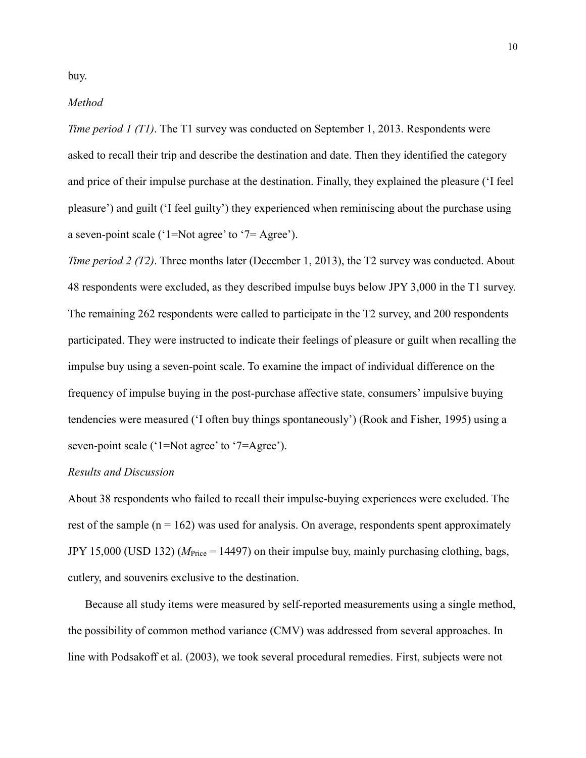#### *Method*

*Time period 1 (T1)*. The T1 survey was conducted on September 1, 2013. Respondents were asked to recall their trip and describe the destination and date. Then they identified the category and price of their impulse purchase at the destination. Finally, they explained the pleasure ('I feel pleasure') and guilt ('I feel guilty') they experienced when reminiscing about the purchase using a seven-point scale (' $1 = Not$  agree' to ' $7 = Agee$ ').

*Time period 2 (T2)*. Three months later (December 1, 2013), the T2 survey was conducted. About 48 respondents were excluded, as they described impulse buys below JPY 3,000 in the T1 survey. The remaining 262 respondents were called to participate in the T2 survey, and 200 respondents participated. They were instructed to indicate their feelings of pleasure or guilt when recalling the impulse buy using a seven-point scale. To examine the impact of individual difference on the frequency of impulse buying in the post-purchase affective state, consumers' impulsive buying tendencies were measured ('I often buy things spontaneously') (Rook and Fisher, 1995) using a seven-point scale ('1=Not agree' to '7=Agree').

### *Results and Discussion*

About 38 respondents who failed to recall their impulse-buying experiences were excluded. The rest of the sample  $(n = 162)$  was used for analysis. On average, respondents spent approximately JPY 15,000 (USD 132) (*M*Price = 14497) on their impulse buy, mainly purchasing clothing, bags, cutlery, and souvenirs exclusive to the destination.

Because all study items were measured by self-reported measurements using a single method, the possibility of common method variance (CMV) was addressed from several approaches. In line with Podsakoff et al. (2003), we took several procedural remedies. First, subjects were not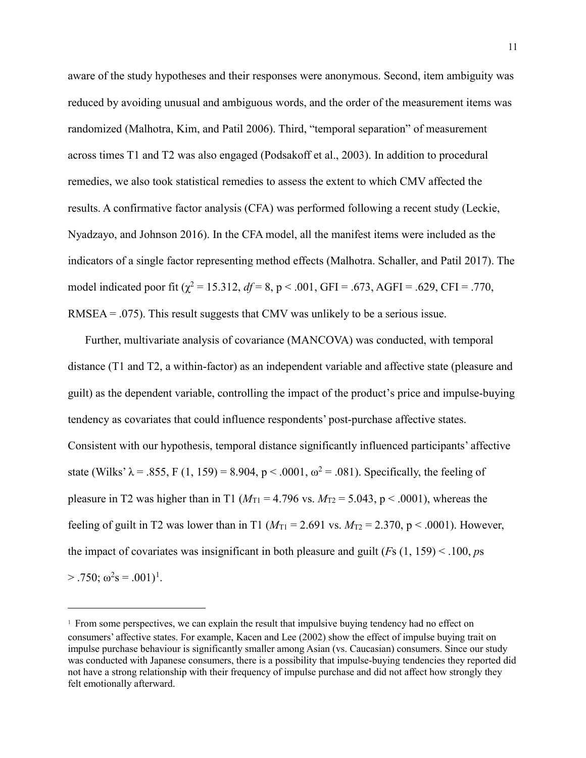aware of the study hypotheses and their responses were anonymous. Second, item ambiguity was reduced by avoiding unusual and ambiguous words, and the order of the measurement items was randomized (Malhotra, Kim, and Patil 2006). Third, "temporal separation" of measurement across times T1 and T2 was also engaged (Podsakoff et al., 2003). In addition to procedural remedies, we also took statistical remedies to assess the extent to which CMV affected the results. A confirmative factor analysis (CFA) was performed following a recent study (Leckie, Nyadzayo, and Johnson 2016). In the CFA model, all the manifest items were included as the indicators of a single factor representing method effects (Malhotra. Schaller, and Patil 2017). The model indicated poor fit ( $\chi^2$  = 15.312, *df* = 8, p < .001, GFI = .673, AGFI = .629, CFI = .770, RMSEA = .075). This result suggests that CMV was unlikely to be a serious issue.

Further, multivariate analysis of covariance (MANCOVA) was conducted, with temporal distance (T1 and T2, a within-factor) as an independent variable and affective state (pleasure and guilt) as the dependent variable, controlling the impact of the product's price and impulse-buying tendency as covariates that could influence respondents' post-purchase affective states. Consistent with our hypothesis, temporal distance significantly influenced participants' affective state (Wilks'  $\lambda = .855$ , F (1, 159) = 8.904, p < .0001,  $\omega^2 = .081$ ). Specifically, the feeling of pleasure in T2 was higher than in T1 ( $M_{\text{T1}}$  = 4.796 vs.  $M_{\text{T2}}$  = 5.043, p < .0001), whereas the feeling of guilt in T2 was lower than in T1 ( $M_{\text{T1}} = 2.691$  vs.  $M_{\text{T2}} = 2.370$ , p < .0001). However, the impact of covariates was insignificant in both pleasure and guilt (*F*s (1, 159) < .100, *p*s  $> .750$ ;  $\omega^2$ s = .00[1](#page-11-0))<sup>1</sup>.

-

<span id="page-11-0"></span><sup>&</sup>lt;sup>1</sup> From some perspectives, we can explain the result that impulsive buying tendency had no effect on consumers' affective states. For example, Kacen and Lee (2002) show the effect of impulse buying trait on impulse purchase behaviour is significantly smaller among Asian (vs. Caucasian) consumers. Since our study was conducted with Japanese consumers, there is a possibility that impulse-buying tendencies they reported did not have a strong relationship with their frequency of impulse purchase and did not affect how strongly they felt emotionally afterward.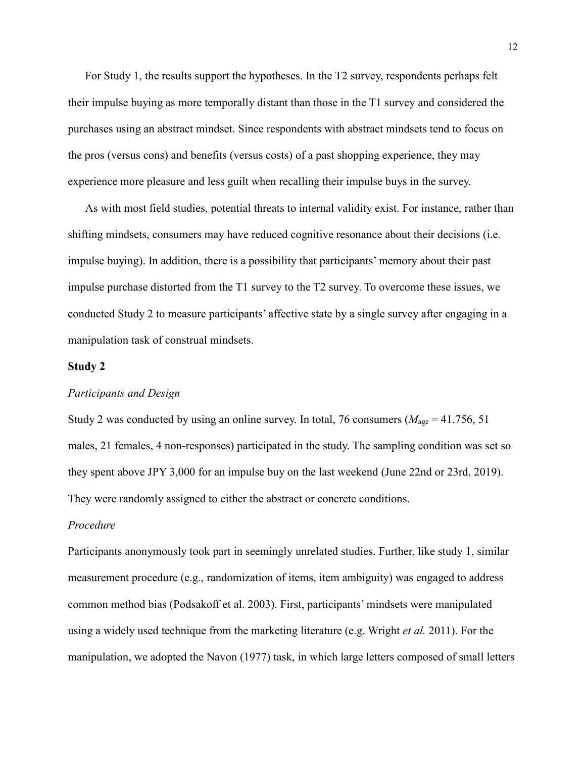For Study 1, the results support the hypotheses. In the T2 survey, respondents perhaps felt their impulse buying as more temporally distant than those in the T1 survey and considered the purchases using an abstract mindset. Since respondents with abstract mindsets tend to focus on the pros (versus cons) and benefits (versus costs) of a past shopping experience, they may experience more pleasure and less guilt when recalling their impulse buys in the survey.

As with most field studies, potential threats to internal validity exist. For instance, rather than shifting mindsets, consumers may have reduced cognitive resonance about their decisions (i.e. impulse buying). In addition, there is a possibility that participants' memory about their past impulse purchase distorted from the T1 survey to the T2 survey. To overcome these issues, we conducted Study 2 to measure participants' affective state by a single survey after engaging in a manipulation task of construal mindsets.

# **Study 2**

# *Participants and Design*

Study 2 was conducted by using an online survey. In total, 76 consumers ( $M_{\text{age}} = 41.756, 51$ ) males, 21 females, 4 non-responses) participated in the study. The sampling condition was set so they spent above JPY 3,000 for an impulse buy on the last weekend (June 22nd or 23rd, 2019). They were randomly assigned to either the abstract or concrete conditions.

#### *Procedure*

Participants anonymously took part in seemingly unrelated studies. Further, like study 1, similar measurement procedure (e.g., randomization of items, item ambiguity) was engaged to address common method bias (Podsakoff et al. 2003). First, participants' mindsets were manipulated using a widely used technique from the marketing literature (e.g. Wright *et al.* 2011). For the manipulation, we adopted the Navon (1977) task, in which large letters composed of small letters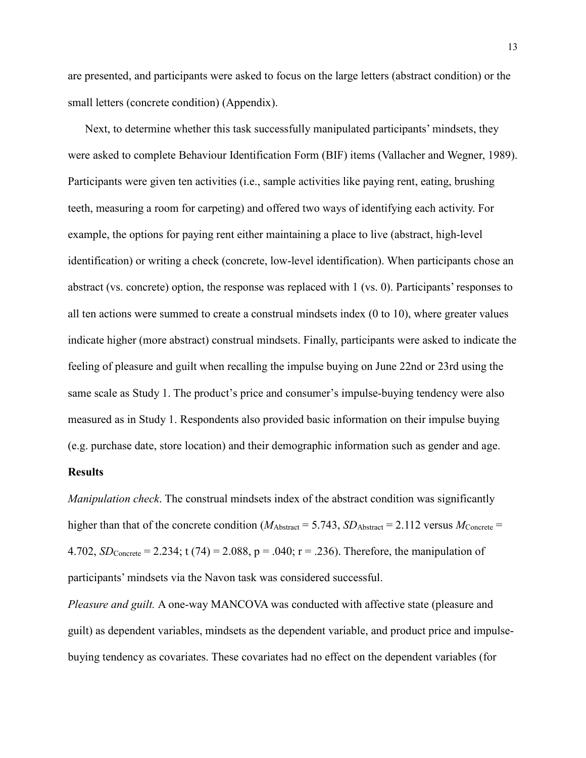are presented, and participants were asked to focus on the large letters (abstract condition) or the small letters (concrete condition) (Appendix).

Next, to determine whether this task successfully manipulated participants' mindsets, they were asked to complete Behaviour Identification Form (BIF) items (Vallacher and Wegner, 1989). Participants were given ten activities (i.e., sample activities like paying rent, eating, brushing teeth, measuring a room for carpeting) and offered two ways of identifying each activity. For example, the options for paying rent either maintaining a place to live (abstract, high-level identification) or writing a check (concrete, low-level identification). When participants chose an abstract (vs. concrete) option, the response was replaced with 1 (vs. 0). Participants' responses to all ten actions were summed to create a construal mindsets index (0 to 10), where greater values indicate higher (more abstract) construal mindsets. Finally, participants were asked to indicate the feeling of pleasure and guilt when recalling the impulse buying on June 22nd or 23rd using the same scale as Study 1. The product's price and consumer's impulse-buying tendency were also measured as in Study 1. Respondents also provided basic information on their impulse buying (e.g. purchase date, store location) and their demographic information such as gender and age.

### **Results**

*Manipulation check*. The construal mindsets index of the abstract condition was significantly higher than that of the concrete condition ( $M_{\text{Abstract}} = 5.743$ ,  $SD_{\text{Abstract}} = 2.112$  versus  $M_{\text{Concrete}} =$ 4.702, *SD*<sub>Concrete</sub> = 2.234; t (74) = 2.088, p = .040; r = .236). Therefore, the manipulation of participants' mindsets via the Navon task was considered successful.

*Pleasure and guilt.* A one-way MANCOVA was conducted with affective state (pleasure and guilt) as dependent variables, mindsets as the dependent variable, and product price and impulsebuying tendency as covariates. These covariates had no effect on the dependent variables (for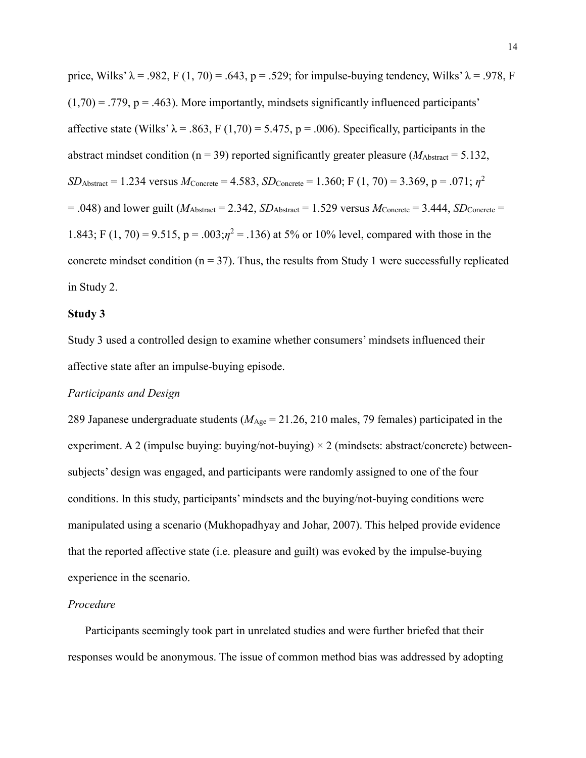price, Wilks'  $\lambda$  = .982, F (1, 70) = .643, p = .529; for impulse-buying tendency, Wilks'  $\lambda$  = .978, F  $(1,70) = .779$ ,  $p = .463$ ). More importantly, mindsets significantly influenced participants' affective state (Wilks'  $\lambda = .863$ , F (1,70) = 5.475, p = .006). Specifically, participants in the abstract mindset condition ( $n = 39$ ) reported significantly greater pleasure ( $M_{\text{Abstract}} = 5.132$ , *SD*<sub>Abstract</sub> = 1.234 versus  $M_{\text{Concrete}}$  = 4.583,  $SD_{\text{Concrete}}$  = 1.360; F (1, 70) = 3.369, p = .071;  $\eta^2$  $= .048$ ) and lower guilt ( $M_{\text{Abstract}} = 2.342$ ,  $SD_{\text{Abstract}} = 1.529$  versus  $M_{\text{Concrete}} = 3.444$ ,  $SD_{\text{Concrete}} = 3.444$ 1.843; F (1, 70) = 9.515,  $p = .003; \eta^2 = .136$ ) at 5% or 10% level, compared with those in the concrete mindset condition ( $n = 37$ ). Thus, the results from Study 1 were successfully replicated in Study 2.

#### **Study 3**

Study 3 used a controlled design to examine whether consumers' mindsets influenced their affective state after an impulse-buying episode.

# *Participants and Design*

289 Japanese undergraduate students (*M*Age = 21.26, 210 males, 79 females) participated in the experiment. A 2 (impulse buying: buying/not-buying)  $\times$  2 (mindsets: abstract/concrete) betweensubjects' design was engaged, and participants were randomly assigned to one of the four conditions. In this study, participants' mindsets and the buying/not-buying conditions were manipulated using a scenario (Mukhopadhyay and Johar, 2007). This helped provide evidence that the reported affective state (i.e. pleasure and guilt) was evoked by the impulse-buying experience in the scenario.

#### *Procedure*

Participants seemingly took part in unrelated studies and were further briefed that their responses would be anonymous. The issue of common method bias was addressed by adopting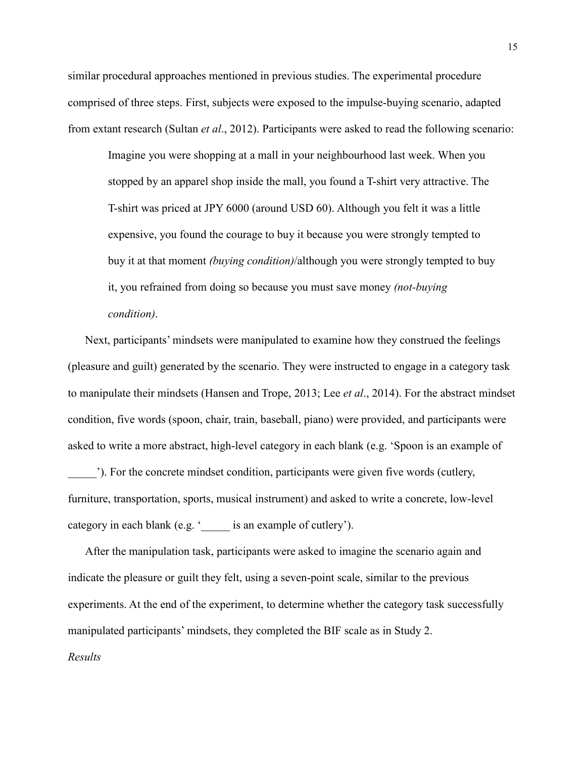similar procedural approaches mentioned in previous studies. The experimental procedure comprised of three steps. First, subjects were exposed to the impulse-buying scenario, adapted from extant research (Sultan *et al*., 2012). Participants were asked to read the following scenario:

Imagine you were shopping at a mall in your neighbourhood last week. When you stopped by an apparel shop inside the mall, you found a T-shirt very attractive. The T-shirt was priced at JPY 6000 (around USD 60). Although you felt it was a little expensive, you found the courage to buy it because you were strongly tempted to buy it at that moment *(buying condition)*/although you were strongly tempted to buy it, you refrained from doing so because you must save money *(not-buying condition)*.

Next, participants' mindsets were manipulated to examine how they construed the feelings (pleasure and guilt) generated by the scenario. They were instructed to engage in a category task to manipulate their mindsets (Hansen and Trope, 2013; Lee *et al*., 2014). For the abstract mindset condition, five words (spoon, chair, train, baseball, piano) were provided, and participants were asked to write a more abstract, high-level category in each blank (e.g. 'Spoon is an example of

). For the concrete mindset condition, participants were given five words (cutlery, furniture, transportation, sports, musical instrument) and asked to write a concrete, low-level category in each blank (e.g. '\_\_\_\_\_ is an example of cutlery').

After the manipulation task, participants were asked to imagine the scenario again and indicate the pleasure or guilt they felt, using a seven-point scale, similar to the previous experiments. At the end of the experiment, to determine whether the category task successfully manipulated participants' mindsets, they completed the BIF scale as in Study 2.

*Results*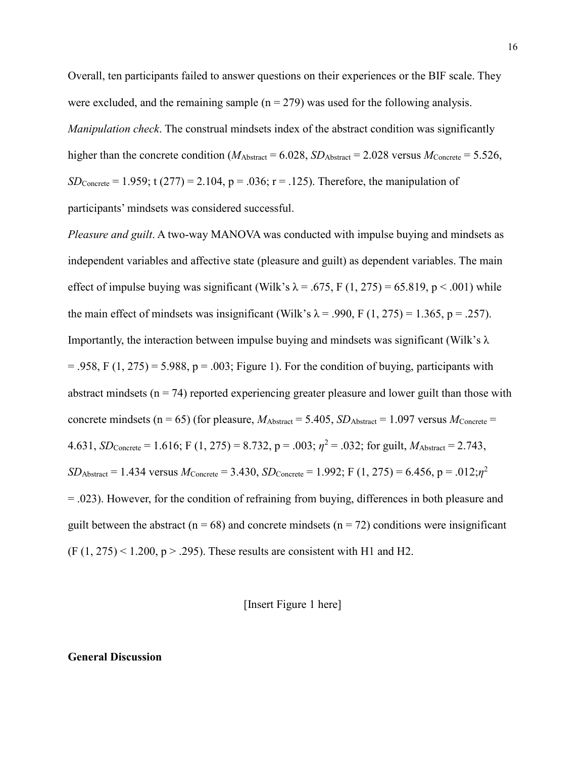Overall, ten participants failed to answer questions on their experiences or the BIF scale. They were excluded, and the remaining sample  $(n = 279)$  was used for the following analysis. *Manipulation check*. The construal mindsets index of the abstract condition was significantly higher than the concrete condition ( $M_{\text{Abstract}} = 6.028$ ,  $SD_{\text{Abstract}} = 2.028$  versus  $M_{\text{Concrete}} = 5.526$ , *SD*<sub>Concrete</sub> = 1.959; t (277) = 2.104, p = .036; r = .125). Therefore, the manipulation of participants' mindsets was considered successful.

*Pleasure and guilt*. A two-way MANOVA was conducted with impulse buying and mindsets as independent variables and affective state (pleasure and guilt) as dependent variables. The main effect of impulse buying was significant (Wilk's  $\lambda = .675$ , F (1, 275) = 65.819, p < .001) while the main effect of mindsets was insignificant (Wilk's  $\lambda$  = .990, F (1, 275) = 1.365, p = .257). Importantly, the interaction between impulse buying and mindsets was significant (Wilk's  $\lambda$ )  $= .958$ , F  $(1, 275) = 5.988$ ,  $p = .003$ ; Figure 1). For the condition of buying, participants with abstract mindsets ( $n = 74$ ) reported experiencing greater pleasure and lower guilt than those with concrete mindsets (n = 65) (for pleasure,  $M_{\text{Abstract}} = 5.405$ ,  $SD_{\text{Abstract}} = 1.097$  versus  $M_{\text{Concrete}} =$ 4.631, *SD*<sub>Concrete</sub> = 1.616; F (1, 275) = 8.732, p = .003;  $\eta^2$  = .032; for guilt, *M*<sub>Abstract</sub> = 2.743,  $SD_{Abstract} = 1.434$  versus  $M_{Concrete} = 3.430$ ,  $SD_{Concrete} = 1.992$ ; F (1, 275) = 6.456, p = .012;*n*<sup>2</sup> = .023). However, for the condition of refraining from buying, differences in both pleasure and guilt between the abstract ( $n = 68$ ) and concrete mindsets ( $n = 72$ ) conditions were insignificant  $(F (1, 275) < 1.200, p > .295)$ . These results are consistent with H1 and H2.

[Insert Figure 1 here]

#### **General Discussion**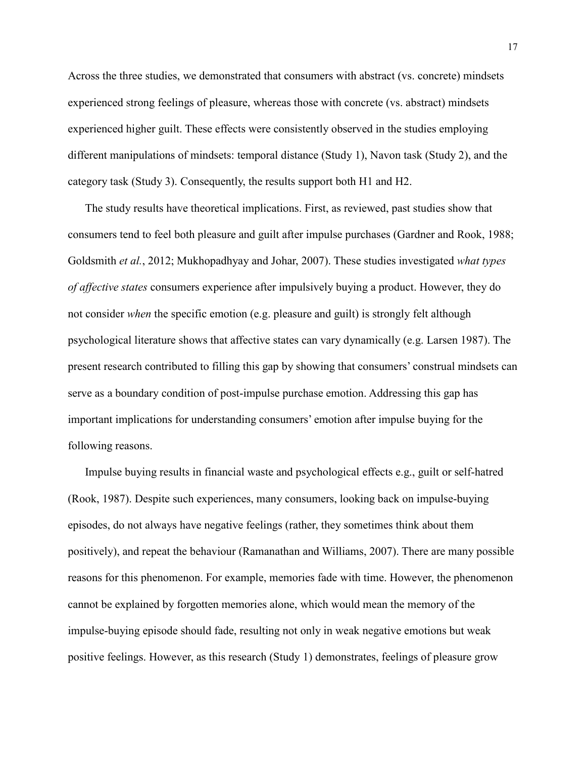Across the three studies, we demonstrated that consumers with abstract (vs. concrete) mindsets experienced strong feelings of pleasure, whereas those with concrete (vs. abstract) mindsets experienced higher guilt. These effects were consistently observed in the studies employing different manipulations of mindsets: temporal distance (Study 1), Navon task (Study 2), and the category task (Study 3). Consequently, the results support both H1 and H2.

The study results have theoretical implications. First, as reviewed, past studies show that consumers tend to feel both pleasure and guilt after impulse purchases (Gardner and Rook, 1988; Goldsmith *et al.*, 2012; Mukhopadhyay and Johar, 2007). These studies investigated *what types of affective states* consumers experience after impulsively buying a product. However, they do not consider *when* the specific emotion (e.g. pleasure and guilt) is strongly felt although psychological literature shows that affective states can vary dynamically (e.g. Larsen 1987). The present research contributed to filling this gap by showing that consumers' construal mindsets can serve as a boundary condition of post-impulse purchase emotion. Addressing this gap has important implications for understanding consumers' emotion after impulse buying for the following reasons.

Impulse buying results in financial waste and psychological effects e.g., guilt or self-hatred (Rook, 1987). Despite such experiences, many consumers, looking back on impulse-buying episodes, do not always have negative feelings (rather, they sometimes think about them positively), and repeat the behaviour (Ramanathan and Williams, 2007). There are many possible reasons for this phenomenon. For example, memories fade with time. However, the phenomenon cannot be explained by forgotten memories alone, which would mean the memory of the impulse-buying episode should fade, resulting not only in weak negative emotions but weak positive feelings. However, as this research (Study 1) demonstrates, feelings of pleasure grow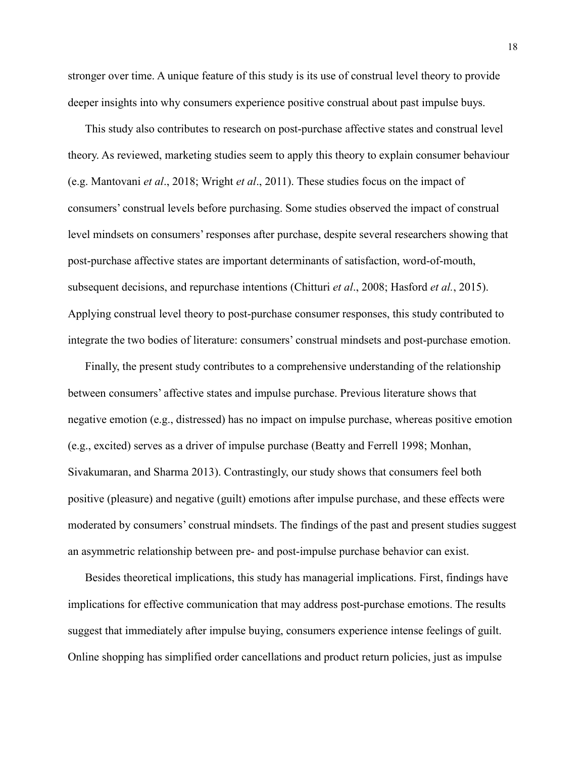stronger over time. A unique feature of this study is its use of construal level theory to provide deeper insights into why consumers experience positive construal about past impulse buys.

This study also contributes to research on post-purchase affective states and construal level theory. As reviewed, marketing studies seem to apply this theory to explain consumer behaviour (e.g. Mantovani *et al*., 2018; Wright *et al*., 2011). These studies focus on the impact of consumers' construal levels before purchasing. Some studies observed the impact of construal level mindsets on consumers' responses after purchase, despite several researchers showing that post-purchase affective states are important determinants of satisfaction, word-of-mouth, subsequent decisions, and repurchase intentions (Chitturi *et al*., 2008; Hasford *et al.*, 2015). Applying construal level theory to post-purchase consumer responses, this study contributed to integrate the two bodies of literature: consumers' construal mindsets and post-purchase emotion.

Finally, the present study contributes to a comprehensive understanding of the relationship between consumers' affective states and impulse purchase. Previous literature shows that negative emotion (e.g., distressed) has no impact on impulse purchase, whereas positive emotion (e.g., excited) serves as a driver of impulse purchase (Beatty and Ferrell 1998; Monhan, Sivakumaran, and Sharma 2013). Contrastingly, our study shows that consumers feel both positive (pleasure) and negative (guilt) emotions after impulse purchase, and these effects were moderated by consumers' construal mindsets. The findings of the past and present studies suggest an asymmetric relationship between pre- and post-impulse purchase behavior can exist.

Besides theoretical implications, this study has managerial implications. First, findings have implications for effective communication that may address post-purchase emotions. The results suggest that immediately after impulse buying, consumers experience intense feelings of guilt. Online shopping has simplified order cancellations and product return policies, just as impulse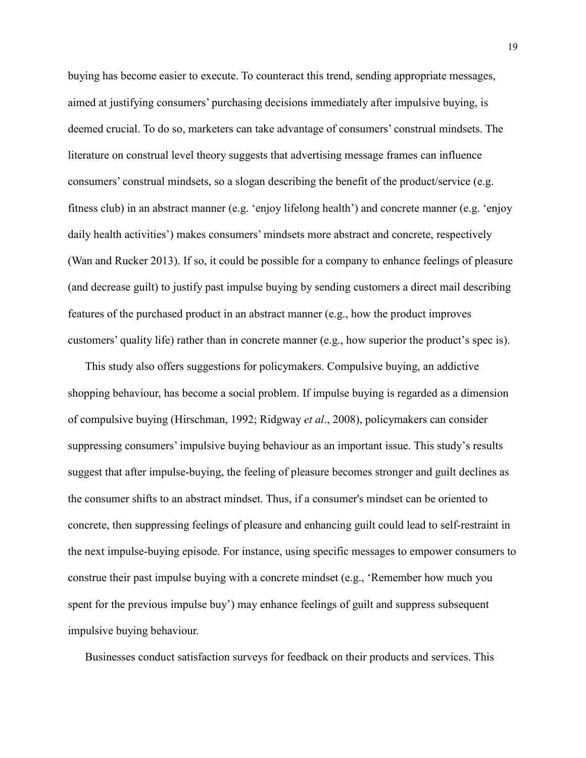buying has become easier to execute. To counteract this trend, sending appropriate messages, aimed at justifying consumers' purchasing decisions immediately after impulsive buying, is deemed crucial. To do so, marketers can take advantage of consumers' construal mindsets. The literature on construal level theory suggests that advertising message frames can influence consumers' construal mindsets, so a slogan describing the benefit of the product/service (e.g. fitness club) in an abstract manner (e.g. 'enjoy lifelong health') and concrete manner (e.g. 'enjoy daily health activities') makes consumers' mindsets more abstract and concrete, respectively (Wan and Rucker 2013). If so, it could be possible for a company to enhance feelings of pleasure (and decrease guilt) to justify past impulse buying by sending customers a direct mail describing features of the purchased product in an abstract manner (e.g., how the product improves customers' quality life) rather than in concrete manner (e.g., how superior the product's spec is).

This study also offers suggestions for policymakers. Compulsive buying, an addictive shopping behaviour, has become a social problem. If impulse buying is regarded as a dimension of compulsive buying (Hirschman, 1992; Ridgway *et al*., 2008), policymakers can consider suppressing consumers' impulsive buying behaviour as an important issue. This study's results suggest that after impulse-buying, the feeling of pleasure becomes stronger and guilt declines as the consumer shifts to an abstract mindset. Thus, if a consumer's mindset can be oriented to concrete, then suppressing feelings of pleasure and enhancing guilt could lead to self-restraint in the next impulse-buying episode. For instance, using specific messages to empower consumers to construe their past impulse buying with a concrete mindset (e.g., 'Remember how much you spent for the previous impulse buy') may enhance feelings of guilt and suppress subsequent impulsive buying behaviour.

Businesses conduct satisfaction surveys for feedback on their products and services. This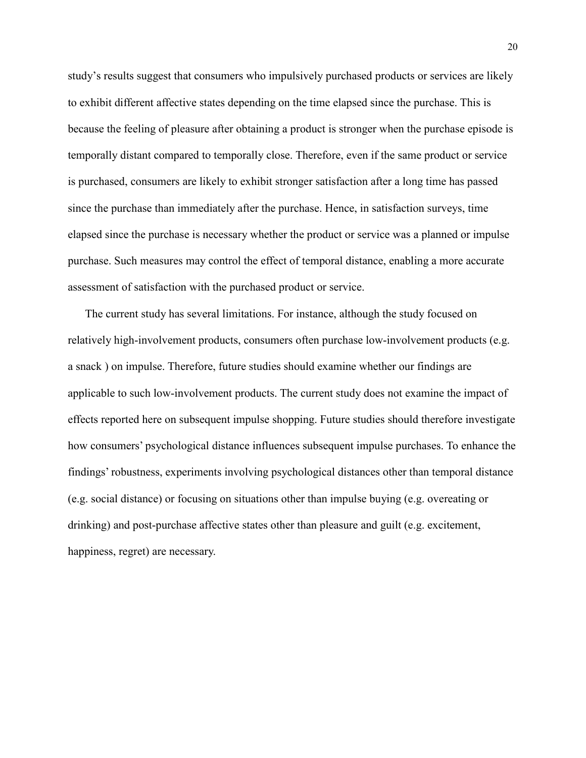study's results suggest that consumers who impulsively purchased products or services are likely to exhibit different affective states depending on the time elapsed since the purchase. This is because the feeling of pleasure after obtaining a product is stronger when the purchase episode is temporally distant compared to temporally close. Therefore, even if the same product or service is purchased, consumers are likely to exhibit stronger satisfaction after a long time has passed since the purchase than immediately after the purchase. Hence, in satisfaction surveys, time elapsed since the purchase is necessary whether the product or service was a planned or impulse purchase. Such measures may control the effect of temporal distance, enabling a more accurate assessment of satisfaction with the purchased product or service.

The current study has several limitations. For instance, although the study focused on relatively high-involvement products, consumers often purchase low-involvement products (e.g. a snack ) on impulse. Therefore, future studies should examine whether our findings are applicable to such low-involvement products. The current study does not examine the impact of effects reported here on subsequent impulse shopping. Future studies should therefore investigate how consumers' psychological distance influences subsequent impulse purchases. To enhance the findings' robustness, experiments involving psychological distances other than temporal distance (e.g. social distance) or focusing on situations other than impulse buying (e.g. overeating or drinking) and post-purchase affective states other than pleasure and guilt (e.g. excitement, happiness, regret) are necessary.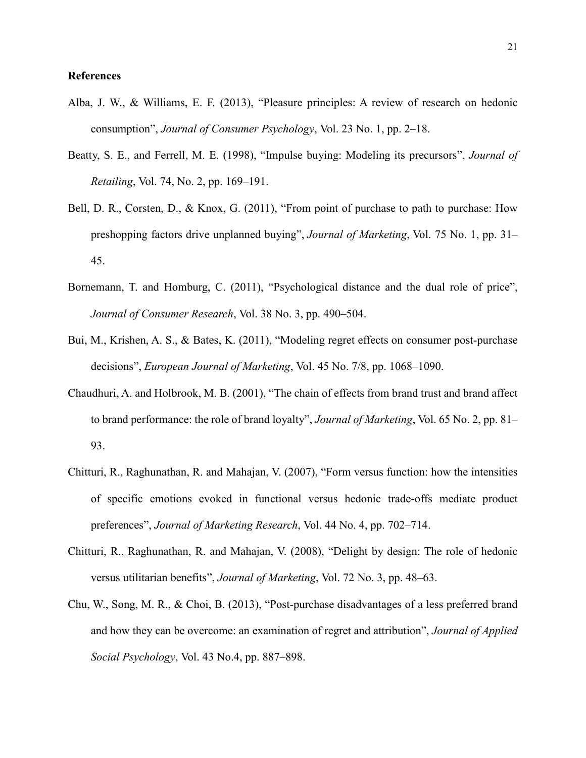# **References**

- Alba, J. W., & Williams, E. F. (2013), "Pleasure principles: A review of research on hedonic consumption", *Journal of Consumer Psychology*, Vol. 23 No. 1, pp. 2–18.
- Beatty, S. E., and Ferrell, M. E. (1998), "Impulse buying: Modeling its precursors", *Journal of Retailing*, Vol. 74, No. 2, pp. 169–191.
- Bell, D. R., Corsten, D., & Knox, G. (2011), "From point of purchase to path to purchase: How preshopping factors drive unplanned buying", *Journal of Marketing*, Vol. 75 No. 1, pp. 31– 45.
- Bornemann, T. and Homburg, C. (2011), "Psychological distance and the dual role of price", *Journal of Consumer Research*, Vol. 38 No. 3, pp. 490–504.
- Bui, M., Krishen, A. S., & Bates, K. (2011), "Modeling regret effects on consumer post-purchase decisions", *European Journal of Marketing*, Vol. 45 No. 7/8, pp. 1068–1090.
- Chaudhuri, A. and Holbrook, M. B. (2001), "The chain of effects from brand trust and brand affect to brand performance: the role of brand loyalty", *Journal of Marketing*, Vol. 65 No. 2, pp. 81– 93.
- Chitturi, R., Raghunathan, R. and Mahajan, V. (2007), "Form versus function: how the intensities of specific emotions evoked in functional versus hedonic trade-offs mediate product preferences", *Journal of Marketing Research*, Vol. 44 No. 4, pp. 702–714.
- Chitturi, R., Raghunathan, R. and Mahajan, V. (2008), "Delight by design: The role of hedonic versus utilitarian benefits", *Journal of Marketing*, Vol. 72 No. 3, pp. 48–63.
- Chu, W., Song, M. R., & Choi, B. (2013), "Post‐purchase disadvantages of a less preferred brand and how they can be overcome: an examination of regret and attribution", *Journal of Applied Social Psychology*, Vol. 43 No.4, pp. 887–898.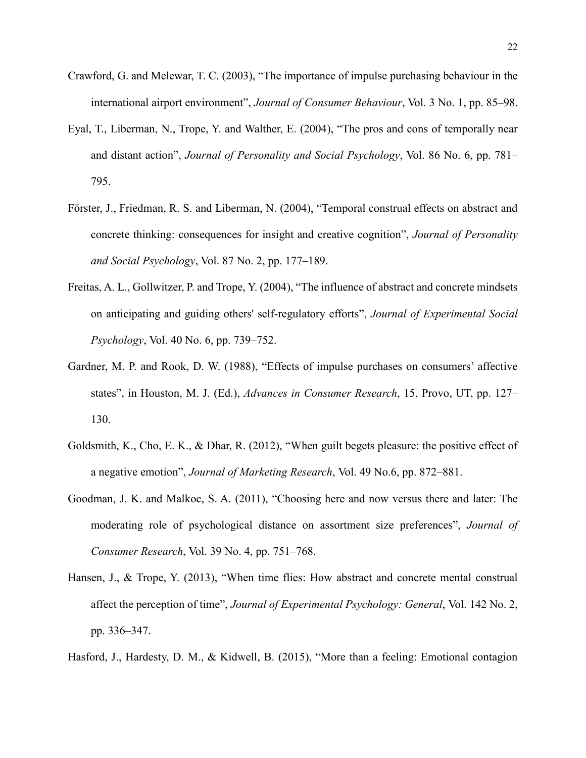- Crawford, G. and Melewar, T. C. (2003), "The importance of impulse purchasing behaviour in the international airport environment", *Journal of Consumer Behaviour*, Vol. 3 No. 1, pp. 85–98.
- Eyal, T., Liberman, N., Trope, Y. and Walther, E. (2004), "The pros and cons of temporally near and distant action", *Journal of Personality and Social Psychology*, Vol. 86 No. 6, pp. 781– 795.
- Förster, J., Friedman, R. S. and Liberman, N. (2004), "Temporal construal effects on abstract and concrete thinking: consequences for insight and creative cognition", *Journal of Personality and Social Psychology*, Vol. 87 No. 2, pp. 177–189.
- Freitas, A. L., Gollwitzer, P. and Trope, Y. (2004), "The influence of abstract and concrete mindsets on anticipating and guiding others' self-regulatory efforts", *Journal of Experimental Social Psychology*, Vol. 40 No. 6, pp. 739–752.
- Gardner, M. P. and Rook, D. W. (1988), "Effects of impulse purchases on consumers' affective states", in Houston, M. J. (Ed.), *Advances in Consumer Research*, 15, Provo, UT, pp. 127– 130.
- Goldsmith, K., Cho, E. K., & Dhar, R. (2012), "When guilt begets pleasure: the positive effect of a negative emotion", *Journal of Marketing Research*, Vol. 49 No.6, pp. 872–881.
- Goodman, J. K. and Malkoc, S. A. (2011), "Choosing here and now versus there and later: The moderating role of psychological distance on assortment size preferences", *Journal of Consumer Research*, Vol. 39 No. 4, pp. 751–768.
- Hansen, J., & Trope, Y. (2013), "When time flies: How abstract and concrete mental construal affect the perception of time", *Journal of Experimental Psychology: General*, Vol. 142 No. 2, pp. 336–347.
- Hasford, J., Hardesty, D. M., & Kidwell, B. (2015), "More than a feeling: Emotional contagion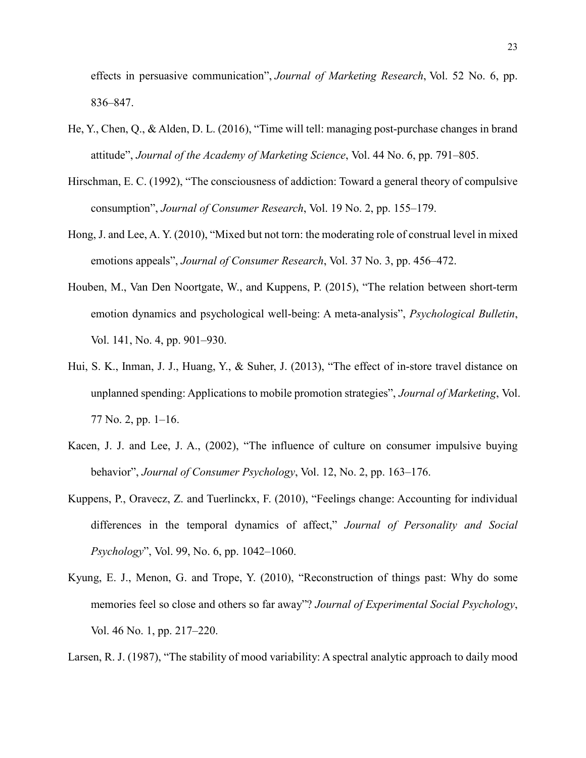effects in persuasive communication", *Journal of Marketing Research*, Vol. 52 No. 6, pp. 836–847.

- He, Y., Chen, Q., & Alden, D. L. (2016), "Time will tell: managing post-purchase changes in brand attitude", *Journal of the Academy of Marketing Science*, Vol. 44 No. 6, pp. 791–805.
- Hirschman, E. C. (1992), "The consciousness of addiction: Toward a general theory of compulsive consumption", *Journal of Consumer Research*, Vol. 19 No. 2, pp. 155–179.
- Hong, J. and Lee, A. Y. (2010), "Mixed but not torn: the moderating role of construal level in mixed emotions appeals", *Journal of Consumer Research*, Vol. 37 No. 3, pp. 456–472.
- Houben, M., Van Den Noortgate, W., and Kuppens, P. (2015), "The relation between short-term emotion dynamics and psychological well-being: A meta-analysis", *Psychological Bulletin*, Vol. 141, No. 4, pp. 901–930.
- Hui, S. K., Inman, J. J., Huang, Y., & Suher, J. (2013), "The effect of in-store travel distance on unplanned spending: Applications to mobile promotion strategies", *Journal of Marketing*, Vol. 77 No. 2, pp. 1–16.
- Kacen, J. J. and Lee, J. A., (2002), "The influence of culture on consumer impulsive buying behavior", *Journal of Consumer Psychology*, Vol. 12, No. 2, pp. 163–176.
- Kuppens, P., Oravecz, Z. and Tuerlinckx, F. (2010), "Feelings change: Accounting for individual differences in the temporal dynamics of affect," *Journal of Personality and Social Psychology*", Vol. 99, No. 6, pp. 1042–1060.
- Kyung, E. J., Menon, G. and Trope, Y. (2010), "Reconstruction of things past: Why do some memories feel so close and others so far away"? *Journal of Experimental Social Psychology*, Vol. 46 No. 1, pp. 217–220.

Larsen, R. J. (1987), "The stability of mood variability: A spectral analytic approach to daily mood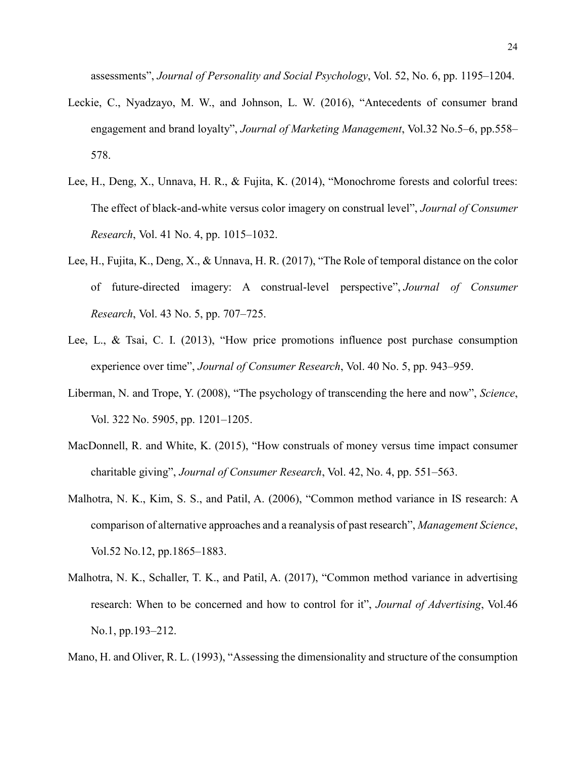assessments", *Journal of Personality and Social Psychology*, Vol. 52, No. 6, pp. 1195–1204.

- Leckie, C., Nyadzayo, M. W., and Johnson, L. W. (2016), "Antecedents of consumer brand engagement and brand loyalty", *Journal of Marketing Management*, Vol.32 No.5–6, pp.558– 578.
- Lee, H., Deng, X., Unnava, H. R., & Fujita, K. (2014), "Monochrome forests and colorful trees: The effect of black-and-white versus color imagery on construal level", *Journal of Consumer Research*, Vol. 41 No. 4, pp. 1015–1032.
- Lee, H., Fujita, K., Deng, X., & Unnava, H. R. (2017), "The Role of temporal distance on the color of future-directed imagery: A construal-level perspective", *Journal of Consumer Research*, Vol. 43 No. 5, pp. 707–725.
- Lee, L., & Tsai, C. I. (2013), "How price promotions influence post purchase consumption experience over time", *Journal of Consumer Research*, Vol. 40 No. 5, pp. 943–959.
- Liberman, N. and Trope, Y. (2008), "The psychology of transcending the here and now", *Science*, Vol. 322 No. 5905, pp. 1201–1205.
- MacDonnell, R. and White, K. (2015), "How construals of money versus time impact consumer charitable giving", *Journal of Consumer Research*, Vol. 42, No. 4, pp. 551–563.
- Malhotra, N. K., Kim, S. S., and Patil, A. (2006), "Common method variance in IS research: A comparison of alternative approaches and a reanalysis of past research", *Management Science*, Vol.52 No.12, pp.1865–1883.
- Malhotra, N. K., Schaller, T. K., and Patil, A. (2017), "Common method variance in advertising research: When to be concerned and how to control for it", *Journal of Advertising*, Vol.46 No.1, pp.193–212.

Mano, H. and Oliver, R. L. (1993), "Assessing the dimensionality and structure of the consumption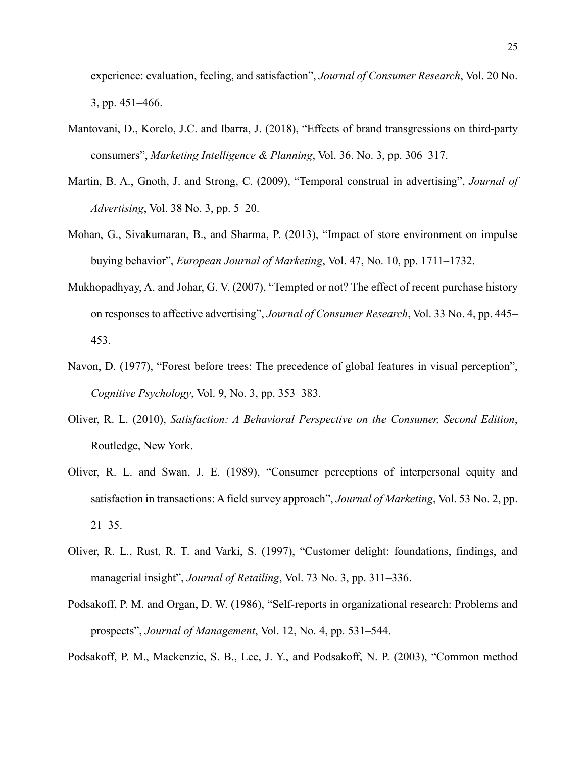experience: evaluation, feeling, and satisfaction", *Journal of Consumer Research*, Vol. 20 No. 3, pp. 451–466.

- Mantovani, D., Korelo, J.C. and Ibarra, J. (2018), "Effects of brand transgressions on third-party consumers", *Marketing Intelligence & Planning*, Vol. 36. No. 3, pp. 306–317.
- Martin, B. A., Gnoth, J. and Strong, C. (2009), "Temporal construal in advertising", *Journal of Advertising*, Vol. 38 No. 3, pp. 5–20.
- Mohan, G., Sivakumaran, B., and Sharma, P. (2013), "Impact of store environment on impulse buying behavior", *European Journal of Marketing*, Vol. 47, No. 10, pp. 1711–1732.
- Mukhopadhyay, A. and Johar, G. V. (2007), "Tempted or not? The effect of recent purchase history on responses to affective advertising", *Journal of Consumer Research*, Vol. 33 No. 4, pp. 445– 453.
- Navon, D. (1977), "Forest before trees: The precedence of global features in visual perception", *Cognitive Psychology*, Vol. 9, No. 3, pp. 353–383.
- Oliver, R. L. (2010), *Satisfaction: A Behavioral Perspective on the Consumer, Second Edition*, Routledge, New York.
- Oliver, R. L. and Swan, J. E. (1989), "Consumer perceptions of interpersonal equity and satisfaction in transactions: A field survey approach", *Journal of Marketing*, Vol. 53 No. 2, pp.  $21-35.$
- Oliver, R. L., Rust, R. T. and Varki, S. (1997), "Customer delight: foundations, findings, and managerial insight", *Journal of Retailing*, Vol. 73 No. 3, pp. 311–336.
- Podsakoff, P. M. and Organ, D. W. (1986), "Self-reports in organizational research: Problems and prospects", *Journal of Management*, Vol. 12, No. 4, pp. 531–544.
- Podsakoff, P. M., Mackenzie, S. B., Lee, J. Y., and Podsakoff, N. P. (2003), "Common method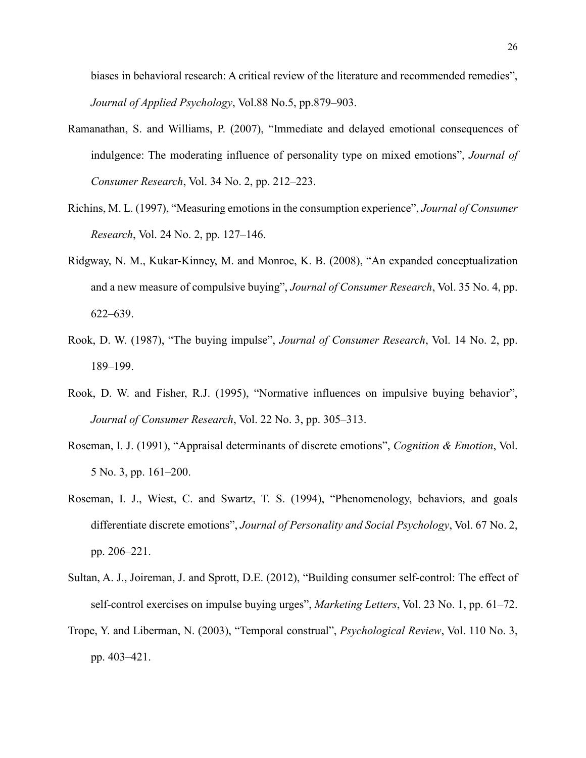biases in behavioral research: A critical review of the literature and recommended remedies", *Journal of Applied Psychology*, Vol.88 No.5, pp.879–903.

- Ramanathan, S. and Williams, P. (2007), "Immediate and delayed emotional consequences of indulgence: The moderating influence of personality type on mixed emotions", *Journal of Consumer Research*, Vol. 34 No. 2, pp. 212–223.
- Richins, M. L. (1997), "Measuring emotions in the consumption experience", *Journal of Consumer Research*, Vol. 24 No. 2, pp. 127–146.
- Ridgway, N. M., Kukar-Kinney, M. and Monroe, K. B. (2008), "An expanded conceptualization and a new measure of compulsive buying", *Journal of Consumer Research*, Vol. 35 No. 4, pp. 622–639.
- Rook, D. W. (1987), "The buying impulse", *Journal of Consumer Research*, Vol. 14 No. 2, pp. 189–199.
- Rook, D. W. and Fisher, R.J. (1995), "Normative influences on impulsive buying behavior", *Journal of Consumer Research*, Vol. 22 No. 3, pp. 305–313.
- Roseman, I. J. (1991), "Appraisal determinants of discrete emotions", *Cognition & Emotion*, Vol. 5 No. 3, pp. 161–200.
- Roseman, I. J., Wiest, C. and Swartz, T. S. (1994), "Phenomenology, behaviors, and goals differentiate discrete emotions", *Journal of Personality and Social Psychology*, Vol. 67 No. 2, pp. 206–221.
- Sultan, A. J., Joireman, J. and Sprott, D.E. (2012), "Building consumer self-control: The effect of self-control exercises on impulse buying urges", *Marketing Letters*, Vol. 23 No. 1, pp. 61–72.
- Trope, Y. and Liberman, N. (2003), "Temporal construal", *Psychological Review*, Vol. 110 No. 3, pp. 403–421.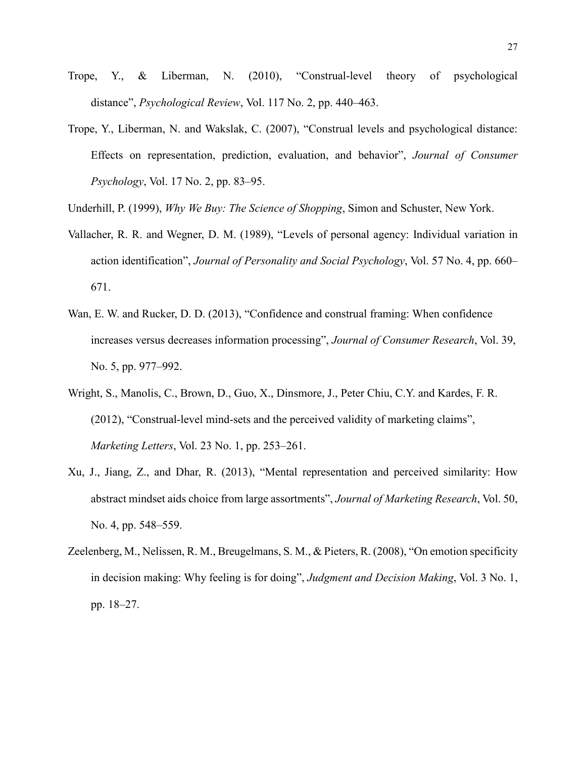- Trope, Y., & Liberman, N. (2010), "Construal-level theory of psychological distance", *Psychological Review*, Vol. 117 No. 2, pp. 440–463.
- Trope, Y., Liberman, N. and Wakslak, C. (2007), "Construal levels and psychological distance: Effects on representation, prediction, evaluation, and behavior", *Journal of Consumer Psychology*, Vol. 17 No. 2, pp. 83–95.
- Underhill, P. (1999), *Why We Buy: The Science of Shopping*, Simon and Schuster, New York.
- Vallacher, R. R. and Wegner, D. M. (1989), "Levels of personal agency: Individual variation in action identification", *Journal of Personality and Social Psychology*, Vol. 57 No. 4, pp. 660– 671.
- Wan, E. W. and Rucker, D. D. (2013), "Confidence and construal framing: When confidence increases versus decreases information processing", *Journal of Consumer Research*, Vol. 39, No. 5, pp. 977–992.
- Wright, S., Manolis, C., Brown, D., Guo, X., Dinsmore, J., Peter Chiu, C.Y. and Kardes, F. R. (2012), "Construal-level mind-sets and the perceived validity of marketing claims", *Marketing Letters*, Vol. 23 No. 1, pp. 253–261.
- Xu, J., Jiang, Z., and Dhar, R. (2013), "Mental representation and perceived similarity: How abstract mindset aids choice from large assortments", *Journal of Marketing Research*, Vol. 50, No. 4, pp. 548–559.
- Zeelenberg, M., Nelissen, R. M., Breugelmans, S. M., & Pieters, R. (2008), "On emotion specificity in decision making: Why feeling is for doing", *Judgment and Decision Making*, Vol. 3 No. 1, pp. 18–27.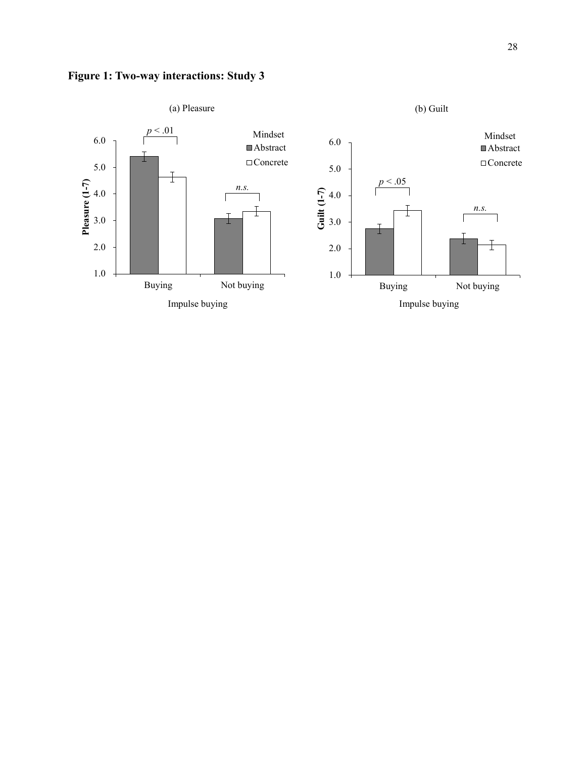

# **Figure 1: Two-way interactions: Study 3**